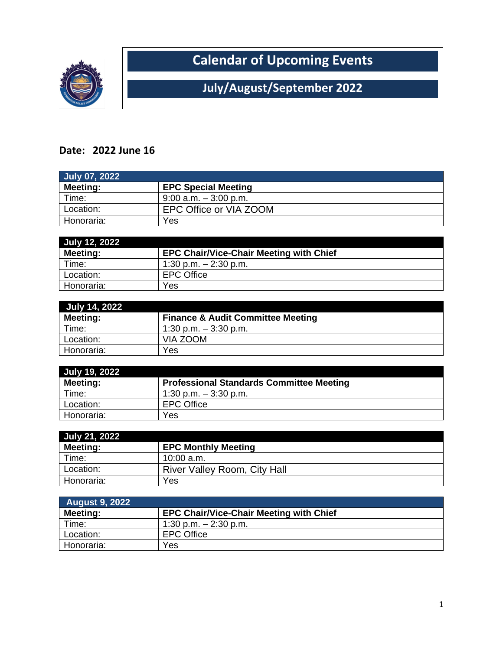

**Calendar of Upcoming Events**

**July/August/September 2022**

## **Date: 2022 June 16**

| July 07, 2022   |                            |
|-----------------|----------------------------|
| <b>Meeting:</b> | <b>EPC Special Meeting</b> |
| Time:           | $9:00$ a.m. $-3:00$ p.m.   |
| Location:       | EPC Office or VIA ZOOM     |
| Honoraria:      | Yes                        |

| July 12, 2022 |                                                |
|---------------|------------------------------------------------|
| Meeting:      | <b>EPC Chair/Vice-Chair Meeting with Chief</b> |
| Time:         | 1:30 p.m. $-2:30$ p.m.                         |
| Location:     | <b>EPC Office</b>                              |
| Honoraria:    | Yes                                            |

| <b>July 14, 2022</b> |                                              |
|----------------------|----------------------------------------------|
| <b>Meeting:</b>      | <b>Finance &amp; Audit Committee Meeting</b> |
| Time:                | 1:30 p.m. $-3:30$ p.m.                       |
| Location:            | VIA ZOOM                                     |
| Honoraria:           | Yes                                          |

| July 19, 2022 |                                                 |
|---------------|-------------------------------------------------|
| Meeting:      | <b>Professional Standards Committee Meeting</b> |
| Time:         | 1:30 p.m. $-3:30$ p.m.                          |
| Location:     | <b>EPC Office</b>                               |
| Honoraria:    | Yes                                             |

| July 21, 2022 |                                     |
|---------------|-------------------------------------|
| Meeting:      | <b>EPC Monthly Meeting</b>          |
| Time:         | $10:00$ a.m.                        |
| Location:     | <b>River Valley Room, City Hall</b> |
| Honoraria:    | Yes                                 |

| <b>August 9, 2022</b> |                                                |
|-----------------------|------------------------------------------------|
| Meeting:              | <b>EPC Chair/Vice-Chair Meeting with Chief</b> |
| Time:                 | 1:30 p.m. $-$ 2:30 p.m.                        |
| Location:             | <b>EPC Office</b>                              |
| Honoraria:            | Yes                                            |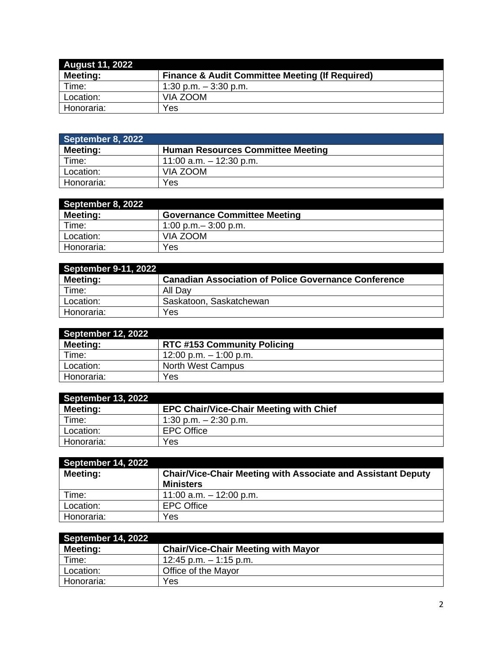| <b>August 11, 2022</b> |                                                            |
|------------------------|------------------------------------------------------------|
| <b>Meeting:</b>        | <b>Finance &amp; Audit Committee Meeting (If Required)</b> |
| Time:                  | 1:30 p.m. $-3:30$ p.m.                                     |
| Location:              | VIA ZOOM                                                   |
| Honoraria:             | Yes                                                        |

| September 8, 2022 |                                          |
|-------------------|------------------------------------------|
| <b>Meeting:</b>   | <b>Human Resources Committee Meeting</b> |
| Time:             | 11:00 a.m. $-$ 12:30 p.m.                |
| Location:         | VIA ZOOM                                 |
| Honoraria:        | Yes                                      |

| September 8, 2022 |                                     |
|-------------------|-------------------------------------|
| Meeting:          | <b>Governance Committee Meeting</b> |
| Time:             | $1:00$ p.m. $-3:00$ p.m.            |
| Location:         | VIA ZOOM                            |
| Honoraria:        | Yes                                 |

| <b>September 9-11, 2022</b> |                                                             |
|-----------------------------|-------------------------------------------------------------|
| Meeting:                    | <b>Canadian Association of Police Governance Conference</b> |
| Time:                       | All Dav                                                     |
| Location:                   | Saskatoon, Saskatchewan                                     |
| Honoraria:                  | Yes                                                         |

| <b>September 12, 2022</b> |                                    |
|---------------------------|------------------------------------|
| Meeting:                  | <b>RTC #153 Community Policing</b> |
| Time:                     | 12:00 p.m. $-$ 1:00 p.m.           |
| Location:                 | <b>North West Campus</b>           |
| Honoraria:                | Yes                                |

| <b>September 13, 2022</b> |                                                |
|---------------------------|------------------------------------------------|
| Meeting:                  | <b>EPC Chair/Vice-Chair Meeting with Chief</b> |
| Time:                     | 1:30 p.m. $-2:30$ p.m.                         |
| Location:                 | <b>EPC Office</b>                              |
| Honoraria:                | Yes                                            |

| September 13, 2022 |                                                                     |
|--------------------|---------------------------------------------------------------------|
| <b>Meeting:</b>    | <b>EPC Chair/Vice-Chair Meeting with Chief</b>                      |
| Time:              | 1:30 p.m. $- 2:30$ p.m.                                             |
| Location:          | <b>EPC Office</b>                                                   |
| Honoraria:         | Yes                                                                 |
|                    |                                                                     |
| September 14, 2022 |                                                                     |
| Meeting:           | <b>Chair/Vice-Chair Meeting with Associate and Assistant Deputy</b> |
|                    | <b>Ministers</b>                                                    |
| Time:              | 11:00 a.m. $-$ 12:00 p.m.                                           |
| Location:          | <b>EPC Office</b>                                                   |
| Honoraria:         | Yes                                                                 |

| September 14, 2022 |                                            |
|--------------------|--------------------------------------------|
| Meeting:           | <b>Chair/Vice-Chair Meeting with Mayor</b> |
| Time:              | 12:45 p.m. $-$ 1:15 p.m.                   |
| Location:          | Office of the Mayor                        |
| Honoraria:         | Yes                                        |